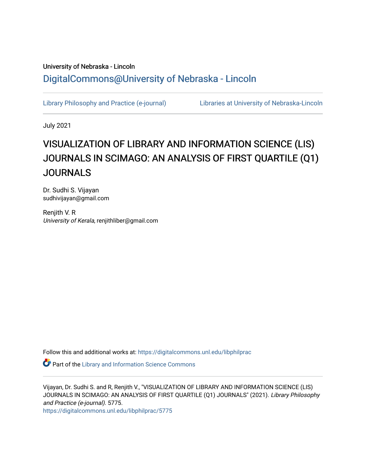# University of Nebraska - Lincoln [DigitalCommons@University of Nebraska - Lincoln](https://digitalcommons.unl.edu/)

[Library Philosophy and Practice \(e-journal\)](https://digitalcommons.unl.edu/libphilprac) [Libraries at University of Nebraska-Lincoln](https://digitalcommons.unl.edu/libraries) 

July 2021

# VISUALIZATION OF LIBRARY AND INFORMATION SCIENCE (LIS) JOURNALS IN SCIMAGO: AN ANALYSIS OF FIRST QUARTILE (Q1) JOURNALS

Dr. Sudhi S. Vijayan sudhivijayan@gmail.com

Renjith V. R University of Kerala, renjithliber@gmail.com

Follow this and additional works at: [https://digitalcommons.unl.edu/libphilprac](https://digitalcommons.unl.edu/libphilprac?utm_source=digitalcommons.unl.edu%2Flibphilprac%2F5775&utm_medium=PDF&utm_campaign=PDFCoverPages) 

**Part of the Library and Information Science Commons** 

Vijayan, Dr. Sudhi S. and R, Renjith V., "VISUALIZATION OF LIBRARY AND INFORMATION SCIENCE (LIS) JOURNALS IN SCIMAGO: AN ANALYSIS OF FIRST QUARTILE (Q1) JOURNALS" (2021). Library Philosophy and Practice (e-journal). 5775.

[https://digitalcommons.unl.edu/libphilprac/5775](https://digitalcommons.unl.edu/libphilprac/5775?utm_source=digitalcommons.unl.edu%2Flibphilprac%2F5775&utm_medium=PDF&utm_campaign=PDFCoverPages)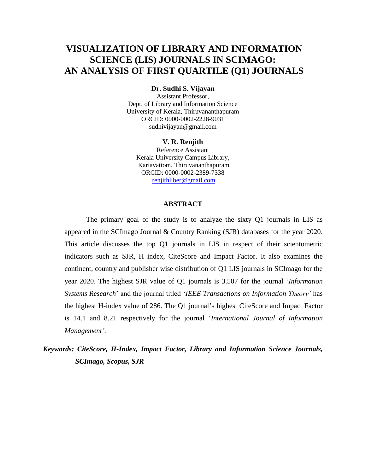# **VISUALIZATION OF LIBRARY AND INFORMATION SCIENCE (LIS) JOURNALS IN SCIMAGO: AN ANALYSIS OF FIRST QUARTILE (Q1) JOURNALS**

## **Dr. Sudhi S. Vijayan**

Assistant Professor, Dept. of Library and Information Science University of Kerala, Thiruvananthapuram ORCID: 0000-0002-2228-9031 [sudhivijayan@gmail.com](mailto:sudhivijayan@gmail.com)

#### **V. R. Renjith**

Reference Assistant Kerala University Campus Library, Kariavattom, Thiruvananthapuram ORCID: 0000-0002-2389-7338 [renjithliber@gmail.com](mailto:renjithliber@gmail.com)

#### **ABSTRACT**

The primary goal of the study is to analyze the sixty Q1 journals in LIS as appeared in the SCImago Journal & Country Ranking (SJR) databases for the year 2020. This article discusses the top Q1 journals in LIS in respect of their scientometric indicators such as SJR, H index, CiteScore and Impact Factor. It also examines the continent, country and publisher wise distribution of Q1 LIS journals in SCImago for the year 2020. The highest SJR value of Q1 journals is 3.507 for the journal '*Information Systems Research*' and the journal titled '*IEEE Transactions on Information Theory'* has the highest H-index value of 286. The Q1 journal's highest CiteScore and Impact Factor is 14.1 and 8.21 respectively for the journal '*International Journal of Information Management'*.

*Keywords: CiteScore, H-Index, Impact Factor, Library and Information Science Journals, SCImago, Scopus, SJR*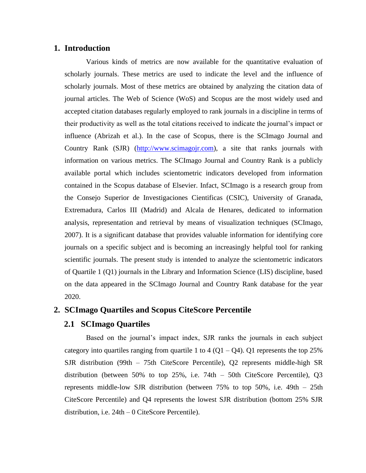# **1. Introduction**

Various kinds of metrics are now available for the quantitative evaluation of scholarly journals. These metrics are used to indicate the level and the influence of scholarly journals. Most of these metrics are obtained by analyzing the citation data of journal articles. The Web of Science (WoS) and Scopus are the most widely used and accepted citation databases regularly employed to rank journals in a discipline in terms of their productivity as well as the total citations received to indicate the journal's impact or influence (Abrizah et al.). In the case of Scopus, there is the SCImago Journal and Country Rank (SJR) [\(http://www.scimagojr.com\)](http://www.scimagojr.com/), a site that ranks journals with information on various metrics. The SCImago Journal and Country Rank is a publicly available portal which includes scientometric indicators developed from information contained in the Scopus database of Elsevier. Infact, SCImago is a research group from the Consejo Superior de Investigaciones Cientificas (CSIC), University of Granada, Extremadura, Carlos III (Madrid) and Alcala de Henares, dedicated to information analysis, representation and retrieval by means of visualization techniques (SCImago, 2007). It is a significant database that provides valuable information for identifying core journals on a specific subject and is becoming an increasingly helpful tool for ranking scientific journals. The present study is intended to analyze the scientometric indicators of Quartile 1 (Q1) journals in the Library and Information Science (LIS) discipline, based on the data appeared in the SCImago Journal and Country Rank database for the year 2020.

# **2. SCImago Quartiles and Scopus CiteScore Percentile**

# **2.1 SCImago Quartiles**

Based on the journal's impact index, SJR ranks the journals in each subject category into quartiles ranging from quartile 1 to 4  $(Q1 - Q4)$ . Q1 represents the top 25% SJR distribution (99th – 75th CiteScore Percentile), Q2 represents middle-high SR distribution (between 50% to top 25%, i.e. 74th – 50th CiteScore Percentile), Q3 represents middle-low SJR distribution (between 75% to top 50%, i.e. 49th – 25th CiteScore Percentile) and Q4 represents the lowest SJR distribution (bottom 25% SJR distribution, i.e. 24th – 0 CiteScore Percentile).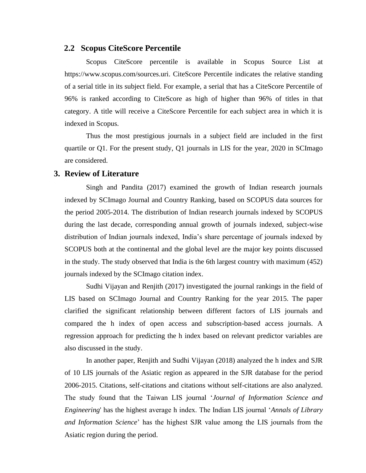#### **2.2 Scopus CiteScore Percentile**

Scopus CiteScore percentile is available in Scopus Source List at https://www.scopus.com/sources.uri. CiteScore Percentile indicates the relative standing of a serial title in its subject field. For example, a serial that has a CiteScore Percentile of 96% is ranked according to CiteScore as high of higher than 96% of titles in that category. A title will receive a CiteScore Percentile for each subject area in which it is indexed in Scopus.

Thus the most prestigious journals in a subject field are included in the first quartile or Q1. For the present study, Q1 journals in LIS for the year, 2020 in SCImago are considered.

# **3. Review of Literature**

Singh and Pandita (2017) examined the growth of Indian research journals indexed by SCImago Journal and Country Ranking, based on SCOPUS data sources for the period 2005-2014. The distribution of Indian research journals indexed by SCOPUS during the last decade, corresponding annual growth of journals indexed, subject-wise distribution of Indian journals indexed, India's share percentage of journals indexed by SCOPUS both at the continental and the global level are the major key points discussed in the study. The study observed that India is the 6th largest country with maximum (452) journals indexed by the SCImago citation index.

Sudhi Vijayan and Renjith (2017) investigated the journal rankings in the field of LIS based on SCImago Journal and Country Ranking for the year 2015. The paper clarified the significant relationship between different factors of LIS journals and compared the h index of open access and subscription-based access journals. A regression approach for predicting the h index based on relevant predictor variables are also discussed in the study.

In another paper, Renjith and Sudhi Vijayan (2018) analyzed the h index and SJR of 10 LIS journals of the Asiatic region as appeared in the SJR database for the period 2006-2015. Citations, self-citations and citations without self-citations are also analyzed. The study found that the Taiwan LIS journal '*Journal of Information Science and Engineering*' has the highest average h index. The Indian LIS journal '*Annals of Library and Information Science*' has the highest SJR value among the LIS journals from the Asiatic region during the period.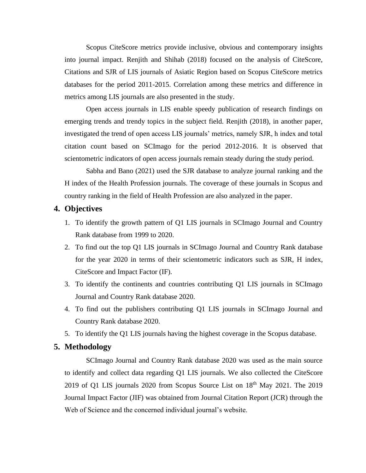Scopus CiteScore metrics provide inclusive, obvious and contemporary insights into journal impact. Renjith and Shihab (2018) focused on the analysis of CiteScore, Citations and SJR of LIS journals of Asiatic Region based on Scopus CiteScore metrics databases for the period 2011-2015. Correlation among these metrics and difference in metrics among LIS journals are also presented in the study.

Open access journals in LIS enable speedy publication of research findings on emerging trends and trendy topics in the subject field. Renjith (2018), in another paper, investigated the trend of open access LIS journals' metrics, namely SJR, h index and total citation count based on SCImago for the period 2012-2016. It is observed that scientometric indicators of open access journals remain steady during the study period.

Sabha and Bano (2021) used the SJR database to analyze journal ranking and the H index of the Health Profession journals. The coverage of these journals in Scopus and country ranking in the field of Health Profession are also analyzed in the paper.

## **4. Objectives**

- 1. To identify the growth pattern of Q1 LIS journals in SCImago Journal and Country Rank database from 1999 to 2020.
- 2. To find out the top Q1 LIS journals in SCImago Journal and Country Rank database for the year 2020 in terms of their scientometric indicators such as SJR, H index, CiteScore and Impact Factor (IF).
- 3. To identify the continents and countries contributing Q1 LIS journals in SCImago Journal and Country Rank database 2020.
- 4. To find out the publishers contributing Q1 LIS journals in SCImago Journal and Country Rank database 2020.
- 5. To identify the Q1 LIS journals having the highest coverage in the Scopus database.

# **5. Methodology**

SCImago Journal and Country Rank database 2020 was used as the main source to identify and collect data regarding Q1 LIS journals. We also collected the CiteScore 2019 of Q1 LIS journals 2020 from Scopus Source List on 18th May 2021. The 2019 Journal Impact Factor (JIF) was obtained from Journal Citation Report (JCR) through the Web of Science and the concerned individual journal's website.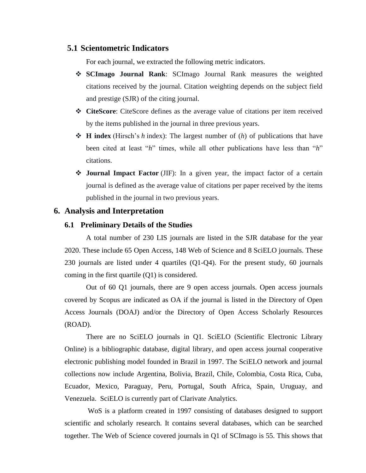## **5.1 Scientometric Indicators**

For each journal, we extracted the following metric indicators.

- ❖ **SCImago Journal Rank**: SCImago Journal Rank measures the weighted citations received by the journal. Citation weighting depends on the subject field and prestige (SJR) of the citing journal.
- ❖ **CiteScore**: CiteScore defines as the average value of citations per item received by the items published in the journal in three previous years.
- ❖ **H index** (Hirsch's *h* index): The largest number of (*h*) of publications that have been cited at least "*h*" times, while all other publications have less than "*h*" citations.
- ❖ **Journal Impact Factor** (JIF): In a given year, the impact factor of a certain journal is defined as the average value of citations per paper received by the items published in the journal in two previous years.

# **6. Analysis and Interpretation**

#### **6.1 Preliminary Details of the Studies**

A total number of 230 LIS journals are listed in the SJR database for the year 2020. These include 65 Open Access, 148 Web of Science and 8 SciELO journals. These 230 journals are listed under 4 quartiles (Q1-Q4). For the present study, 60 journals coming in the first quartile (Q1) is considered.

Out of 60 Q1 journals, there are 9 open access journals. Open access journals covered by Scopus are indicated as OA if the journal is listed in the Directory of Open Access Journals (DOAJ) and/or the Directory of Open Access Scholarly Resources (ROAD).

There are no SciELO journals in Q1. SciELO (Scientific Electronic Library Online) is a bibliographic database, digital library, and open access journal cooperative electronic publishing model founded in Brazil in 1997. The SciELO network and journal collections now include Argentina, Bolivia, Brazil, Chile, Colombia, Costa Rica, Cuba, Ecuador, Mexico, Paraguay, Peru, Portugal, South Africa, Spain, Uruguay, and Venezuela. SciELO is currently part of Clarivate Analytics.

WoS is a platform created in 1997 consisting of databases designed to support scientific and scholarly research. It contains several databases, which can be searched together. The Web of Science covered journals in Q1 of SCImago is 55. This shows that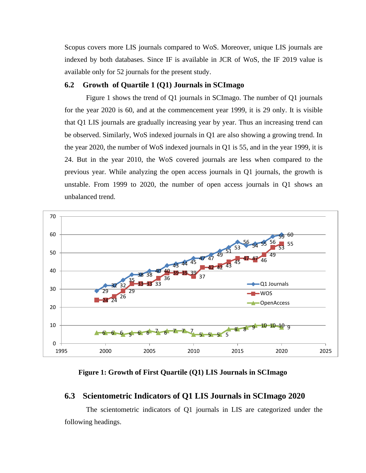Scopus covers more LIS journals compared to WoS. Moreover, unique LIS journals are indexed by both databases. Since IF is available in JCR of WoS, the IF 2019 value is available only for 52 journals for the present study.

#### **6.2 Growth of Quartile 1 (Q1) Journals in SCImago**

Figure 1 shows the trend of Q1 journals in SCImago. The number of Q1 journals for the year 2020 is 60, and at the commencement year 1999, it is 29 only. It is visible that Q1 LIS journals are gradually increasing year by year. Thus an increasing trend can be observed. Similarly, WoS indexed journals in Q1 are also showing a growing trend. In the year 2020, the number of WoS indexed journals in Q1 is 55, and in the year 1999, it is 24. But in the year 2010, the WoS covered journals are less when compared to the previous year. While analyzing the open access journals in Q1 journals, the growth is unstable. From 1999 to 2020, the number of open access journals in Q1 shows an unbalanced trend.



# **Figure 1: Growth of First Quartile (Q1) LIS Journals in SCImago**

#### **6.3 Scientometric Indicators of Q1 LIS Journals in SCImago 2020**

The scientometric indicators of Q1 journals in LIS are categorized under the following headings.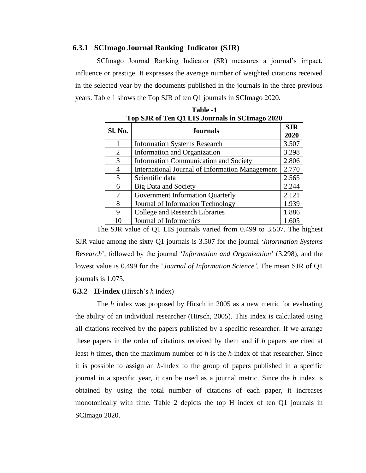#### **6.3.1 SCImago Journal Ranking Indicator (SJR)**

SCImago Journal Ranking Indicator (SR) measures a journal's impact, influence or prestige. It expresses the average number of weighted citations received in the selected year by the documents published in the journals in the three previous years. Table 1 shows the Top SJR of ten Q1 journals in SCImago 2020.

| Sl. No. | <b>Journals</b>                                        | <b>SJR</b><br>2020 |
|---------|--------------------------------------------------------|--------------------|
|         | <b>Information Systems Research</b>                    | 3.507              |
| 2       | Information and Organization                           | 3.298              |
| 3       | <b>Information Communication and Society</b>           | 2.806              |
| 4       | <b>International Journal of Information Management</b> | 2.770              |
| 5       | Scientific data                                        | 2.565              |
| 6       | <b>Big Data and Society</b>                            | 2.244              |
|         | Government Information Quarterly                       | 2.121              |
| 8       | Journal of Information Technology                      | 1.939              |
| 9       | College and Research Libraries                         | 1.886              |
| 10      | Journal of Informetrics                                | 1.605              |

| Table -1                                       |  |
|------------------------------------------------|--|
| Top SJR of Ten Q1 LIS Journals in SCImago 2020 |  |

The SJR value of Q1 LIS journals varied from 0.499 to 3.507. The highest SJR value among the sixty Q1 journals is 3.507 for the journal '*Information Systems Research*', followed by the journal '*Information and Organization*' (3.298), and the lowest value is 0.499 for the '*Journal of Information Science'*. The mean SJR of Q1 journals is 1.075.

#### **6.3.2 H-index** (Hirsch's *h* index)

The *h* index was proposed by Hirsch in 2005 as a new metric for evaluating the ability of an individual researcher (Hirsch, 2005). This index is calculated using all citations received by the papers published by a specific researcher. If we arrange these papers in the order of citations received by them and if *h* papers are cited at least *h* times, then the maximum number of *h* is the *h*-index of that researcher. Since it is possible to assign an *h*-index to the group of papers published in a specific journal in a specific year, it can be used as a journal metric. Since the *h* index is obtained by using the total number of citations of each paper, it increases monotonically with time. Table 2 depicts the top H index of ten Q1 journals in SCImago 2020.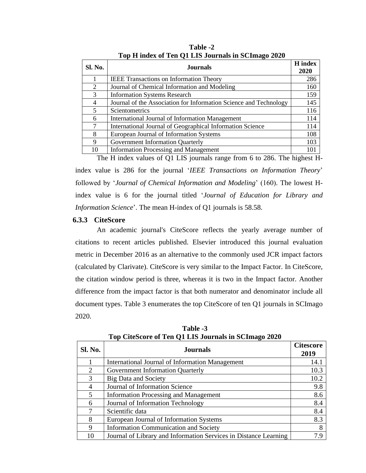| Sl. No. | H index<br><b>Journals</b>                                        |     |  |  |
|---------|-------------------------------------------------------------------|-----|--|--|
|         | <b>IEEE</b> Transactions on Information Theory                    | 286 |  |  |
| 2       | Journal of Chemical Information and Modeling                      | 160 |  |  |
| 3       | <b>Information Systems Research</b>                               | 159 |  |  |
| 4       | Journal of the Association for Information Science and Technology | 145 |  |  |
| 5       | Scientometrics                                                    | 116 |  |  |
| 6       | International Journal of Information Management                   | 114 |  |  |
| 7       | International Journal of Geographical Information Science         | 114 |  |  |
| 8       | European Journal of Information Systems                           | 108 |  |  |
| 9       | Government Information Quarterly                                  | 103 |  |  |
| 10      | <b>Information Processing and Management</b>                      | 101 |  |  |

**Table -2 Top H index of Ten Q1 LIS Journals in SCImago 2020**

The H index values of Q1 LIS journals range from 6 to 286. The highest H-

index value is 286 for the journal '*IEEE Transactions on Information Theory*' followed by '*Journal of Chemical Information and Modeling*' (160). The lowest Hindex value is 6 for the journal titled '*Journal of Education for Library and Information Science*'. The mean H-index of Q1 journals is 58.58.

# **6.3.3 CiteScore**

An academic journal's CiteScore reflects the yearly average number of citations to recent articles published. Elsevier introduced this journal evaluation metric in December 2016 as an alternative to the commonly used JCR impact factors (calculated by Clarivate). CiteScore is very similar to the Impact Factor. In CiteScore, the citation window period is three, whereas it is two in the Impact factor. Another difference from the impact factor is that both numerator and denominator include all document types. Table 3 enumerates the top CiteScore of ten Q1 journals in SCImago 2020.

| Sl. No. | <b>Journals</b>                                                  |      |  |  |
|---------|------------------------------------------------------------------|------|--|--|
|         | International Journal of Information Management                  | 14.1 |  |  |
| 2       | Government Information Quarterly                                 | 10.3 |  |  |
| 3       | <b>Big Data and Society</b>                                      | 10.2 |  |  |
| 4       | Journal of Information Science                                   | 9.8  |  |  |
| 5       | <b>Information Processing and Management</b>                     | 8.6  |  |  |
| 6       | Journal of Information Technology                                | 8.4  |  |  |
|         | Scientific data                                                  | 8.4  |  |  |
| 8       | European Journal of Information Systems                          | 8.3  |  |  |
| 9       | <b>Information Communication and Society</b>                     | 8    |  |  |
| 10      | Journal of Library and Information Services in Distance Learning | 7 Q  |  |  |

**Table -3 Top CiteScore of Ten Q1 LIS Journals in SCImago 2020**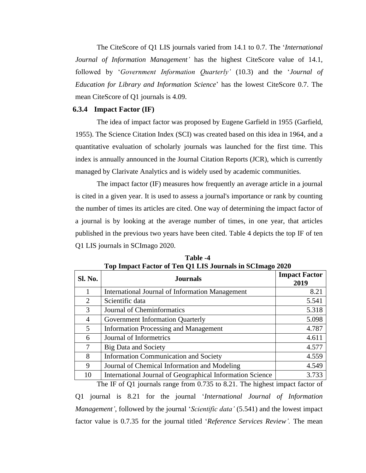The CiteScore of Q1 LIS journals varied from 14.1 to 0.7. The '*International Journal of Information Management'* has the highest CiteScore value of 14.1, followed by '*Government Information Quarterly'* (10.3) and the '*Journal of Education for Library and Information Science*' has the lowest CiteScore 0.7. The mean CiteScore of Q1 journals is 4.09.

#### **6.3.4 Impact Factor (IF)**

The idea of impact factor was proposed by Eugene Garfield in 1955 (Garfield, 1955). The Science Citation Index (SCI) was created based on this idea in 1964, and a quantitative evaluation of scholarly journals was launched for the first time. This index is annually announced in the Journal Citation Reports (JCR), which is currently managed by Clarivate Analytics and is widely used by academic communities.

The impact factor (IF) measures how frequently an average article in a journal is cited in a given year. It is used to assess a journal's importance or rank by counting the number of times its articles are cited. One way of determining the impact factor of a journal is by looking at the average number of times, in one year, that articles published in the previous two years have been cited. Table 4 depicts the top IF of ten Q1 LIS journals in SCImago 2020.

| Sl. No. | <b>Journals</b>                                           | <b>Impact Factor</b><br>2019 |
|---------|-----------------------------------------------------------|------------------------------|
|         | International Journal of Information Management           | 8.21                         |
| 2       | Scientific data                                           | 5.541                        |
| 3       | Journal of Cheminformatics                                | 5.318                        |
| 4       | Government Information Quarterly                          | 5.098                        |
| 5       | <b>Information Processing and Management</b>              | 4.787                        |
| 6       | Journal of Informetrics                                   | 4.611                        |
| 7       | <b>Big Data and Society</b>                               | 4.577                        |
| 8       | <b>Information Communication and Society</b>              | 4.559                        |
| 9       | Journal of Chemical Information and Modeling              | 4.549                        |
| 10      | International Journal of Geographical Information Science | 3.733                        |

**Table -4 Top Impact Factor of Ten Q1 LIS Journals in SCImago 2020**

The IF of Q1 journals range from 0.735 to 8.21. The highest impact factor of Q1 journal is 8.21 for the journal '*International Journal of Information Management'*, followed by the journal '*Scientific data'* (5.541) and the lowest impact factor value is 0.7.35 for the journal titled '*Reference Services Review'.* The mean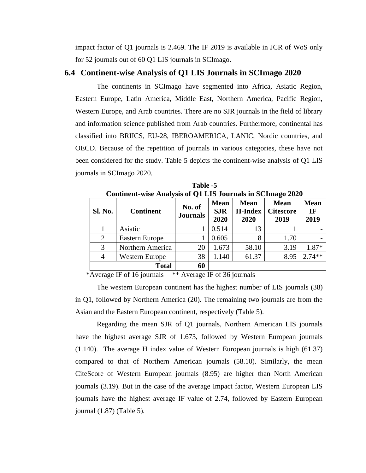impact factor of Q1 journals is 2.469. The IF 2019 is available in JCR of WoS only for 52 journals out of 60 Q1 LIS journals in SCImago.

# **6.4 Continent-wise Analysis of Q1 LIS Journals in SCImago 2020**

The continents in SCImago have segmented into Africa, Asiatic Region, Eastern Europe, Latin America, Middle East, Northern America, Pacific Region, Western Europe, and Arab countries. There are no SJR journals in the field of library and information science published from Arab countries. Furthermore, continental has classified into BRIICS, EU-28, IBEROAMERICA, LANIC, Nordic countries, and OECD. Because of the repetition of journals in various categories, these have not been considered for the study. Table 5 depicts the continent-wise analysis of Q1 LIS journals in SCImago 2020.

| Continent-wise Analysis of Q1 LIS Journals in SCImago 2020 |                       |                           |                                   |                                       |                                         |                                  |  |  |
|------------------------------------------------------------|-----------------------|---------------------------|-----------------------------------|---------------------------------------|-----------------------------------------|----------------------------------|--|--|
| Sl. No.                                                    | <b>Continent</b>      | No. of<br><b>Journals</b> | <b>Mean</b><br><b>SJR</b><br>2020 | <b>Mean</b><br><b>H-Index</b><br>2020 | <b>Mean</b><br><b>Citescore</b><br>2019 | <b>Mean</b><br><b>IF</b><br>2019 |  |  |
|                                                            | Asiatic               |                           | 0.514                             | 13                                    |                                         |                                  |  |  |
| 2                                                          | <b>Eastern Europe</b> |                           | 0.605                             | 8                                     | 1.70                                    |                                  |  |  |
| 3                                                          | Northern America      | 20                        | 1.673                             | 58.10                                 | 3.19                                    | 1.87*                            |  |  |
| 4                                                          | <b>Western Europe</b> | 38                        | 1.140                             | 61.37                                 | 8.95                                    | $2.74**$                         |  |  |
|                                                            | 60<br><b>Total</b>    |                           |                                   |                                       |                                         |                                  |  |  |

**Table -5 Continent-wise Analysis of Q1 LIS Journals in SCImago 2020**

\*Average IF of 16 journals \*\* Average IF of 36 journals

The western European continent has the highest number of LIS journals (38) in Q1, followed by Northern America (20). The remaining two journals are from the Asian and the Eastern European continent, respectively (Table 5).

Regarding the mean SJR of Q1 journals, Northern American LIS journals have the highest average SJR of 1.673, followed by Western European journals (1.140). The average H index value of Western European journals is high (61.37) compared to that of Northern American journals (58.10). Similarly, the mean CiteScore of Western European journals (8.95) are higher than North American journals (3.19). But in the case of the average Impact factor, Western European LIS journals have the highest average IF value of 2.74, followed by Eastern European journal (1.87) (Table 5).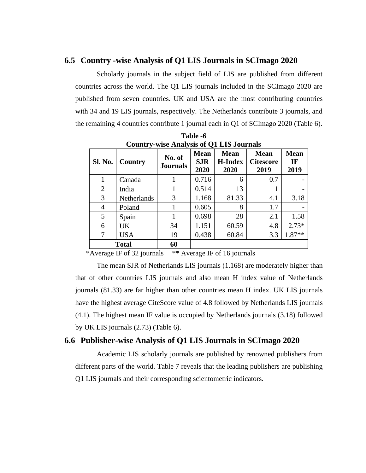#### **6.5 Country -wise Analysis of Q1 LIS Journals in SCImago 2020**

Scholarly journals in the subject field of LIS are published from different countries across the world. The Q1 LIS journals included in the SCImago 2020 are published from seven countries. UK and USA are the most contributing countries with 34 and 19 LIS journals, respectively. The Netherlands contribute 3 journals, and the remaining 4 countries contribute 1 journal each in Q1 of SCImago 2020 (Table 6).

|                    | Country-wise Analysis of Q1 L15 Journals |                           |                                   |                                       |                                         |                           |  |  |  |
|--------------------|------------------------------------------|---------------------------|-----------------------------------|---------------------------------------|-----------------------------------------|---------------------------|--|--|--|
| Sl. No.<br>Country |                                          | No. of<br><b>Journals</b> | <b>Mean</b><br><b>SJR</b><br>2020 | <b>Mean</b><br><b>H-Index</b><br>2020 | <b>Mean</b><br><b>Citescore</b><br>2019 | <b>Mean</b><br>IF<br>2019 |  |  |  |
| 1                  | Canada                                   |                           | 0.716                             | 6                                     | 0.7                                     |                           |  |  |  |
| $\overline{2}$     | India                                    |                           | 0.514                             | 13                                    |                                         |                           |  |  |  |
| 3                  | Netherlands                              | 3                         | 1.168                             | 81.33                                 | 4.1                                     | 3.18                      |  |  |  |
| 4                  | Poland                                   |                           | 0.605                             | 8                                     | 1.7                                     |                           |  |  |  |
| 5                  | Spain                                    |                           | 0.698                             | 28                                    | 2.1                                     | 1.58                      |  |  |  |
| 6                  | UK                                       | 34                        | 1.151                             | 60.59                                 | 4.8                                     | $2.73*$                   |  |  |  |
| $\tau$             | <b>USA</b>                               | 19                        | 0.438                             | 60.84                                 | 3.3                                     | $1.87**$                  |  |  |  |
| 60<br><b>Total</b> |                                          |                           |                                   |                                       |                                         |                           |  |  |  |

**Table -6 Country-wise Analysis of Q1 LIS Journals**

\*Average IF of 32 journals \*\* Average IF of 16 journals

The mean SJR of Netherlands LIS journals (1.168) are moderately higher than that of other countries LIS journals and also mean H index value of Netherlands journals (81.33) are far higher than other countries mean H index. UK LIS journals have the highest average CiteScore value of 4.8 followed by Netherlands LIS journals (4.1). The highest mean IF value is occupied by Netherlands journals (3.18) followed by UK LIS journals (2.73) (Table 6).

# **6.6 Publisher-wise Analysis of Q1 LIS Journals in SCImago 2020**

Academic LIS scholarly journals are published by renowned publishers from different parts of the world. Table 7 reveals that the leading publishers are publishing Q1 LIS journals and their corresponding scientometric indicators.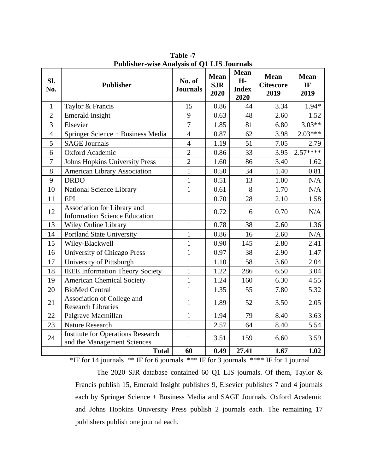| Sl.<br>No.     | <b>Publisher</b>                                                        | No. of<br><b>Journals</b> | <b>Mean</b><br><b>SJR</b><br>2020 | <b>Mean</b><br>H-<br><b>Index</b><br>2020 | <b>Mean</b><br><b>Citescore</b><br>2019 | <b>Mean</b><br>IF<br>2019 |
|----------------|-------------------------------------------------------------------------|---------------------------|-----------------------------------|-------------------------------------------|-----------------------------------------|---------------------------|
| 1              | Taylor & Francis                                                        | 15                        | 0.86                              | 44                                        | 3.34                                    | $1.94*$                   |
| $\overline{2}$ | <b>Emerald Insight</b>                                                  | 9                         | 0.63                              | 48                                        | 2.60                                    | 1.52                      |
| 3              | Elsevier                                                                | $\overline{7}$            | 1.85                              | 81                                        | 6.80                                    | $3.03**$                  |
| $\overline{4}$ | Springer Science + Business Media                                       | $\overline{4}$            | 0.87                              | 62                                        | 3.98                                    | 2.03***                   |
| 5              | <b>SAGE Journals</b>                                                    | $\overline{4}$            | 1.19                              | 51                                        | 7.05                                    | 2.79                      |
| 6              | Oxford Academic                                                         | $\overline{2}$            | 0.86                              | 33                                        | 3.95                                    | $2.57***$                 |
| 7              | <b>Johns Hopkins University Press</b>                                   | $\overline{2}$            | 1.60                              | 86                                        | 3.40                                    | 1.62                      |
| 8              | <b>American Library Association</b>                                     | $\overline{1}$            | 0.50                              | 34                                        | 1.40                                    | 0.81                      |
| 9              | <b>DRDO</b>                                                             | $\mathbf{1}$              | 0.51                              | 13                                        | 1.00                                    | N/A                       |
| 10             | National Science Library                                                | $\mathbf{1}$              | 0.61                              | 8                                         | 1.70                                    | N/A                       |
| 11             | <b>EPI</b>                                                              | $\mathbf{1}$              | 0.70                              | 28                                        | 2.10                                    | 1.58                      |
| 12             | Association for Library and<br><b>Information Science Education</b>     | $\mathbf{1}$              | 0.72                              | 6                                         | 0.70                                    | N/A                       |
| 13             | Wiley Online Library                                                    | $\mathbf{1}$              | 0.78                              | 38                                        | 2.60                                    | 1.36                      |
| 14             | <b>Portland State University</b>                                        | $\mathbf{1}$              | 0.86                              | 16                                        | 2.60                                    | N/A                       |
| 15             | Wiley-Blackwell                                                         | $\overline{1}$            | 0.90                              | 145                                       | 2.80                                    | 2.41                      |
| 16             | University of Chicago Press                                             | $\mathbf{1}$              | 0.97                              | 38                                        | 2.90                                    | 1.47                      |
| 17             | University of Pittsburgh                                                | $\mathbf{1}$              | 1.10                              | 58                                        | 3.60                                    | 2.04                      |
| 18             | <b>IEEE</b> Information Theory Society                                  | $\mathbf{1}$              | 1.22                              | 286                                       | 6.50                                    | 3.04                      |
| 19             | <b>American Chemical Society</b>                                        | $\mathbf{1}$              | 1.24                              | 160                                       | 6.30                                    | 4.55                      |
| 20             | <b>BioMed Central</b>                                                   | $\overline{1}$            | 1.35                              | 55                                        | 7.80                                    | 5.32                      |
| 21             | Association of College and<br><b>Research Libraries</b>                 | 1                         | 1.89                              | 52                                        | 3.50                                    | 2.05                      |
| 22             | Palgrave Macmillan                                                      | $\mathbf{1}$              | 1.94                              | 79                                        | 8.40                                    | 3.63                      |
| 23             | <b>Nature Research</b>                                                  | $\overline{1}$            | 2.57                              | 64                                        | 8.40                                    | 5.54                      |
| 24             | <b>Institute for Operations Research</b><br>and the Management Sciences | $\mathbf{1}$              | 3.51                              | 159                                       | 6.60                                    | 3.59                      |
|                | <b>Total</b>                                                            | 60                        | 0.49                              | 27.41                                     | 1.67                                    | 1.02                      |

**Table -7 Publisher-wise Analysis of Q1 LIS Journals**

\*IF for 14 journals \*\* IF for 6 journals \*\*\* IF for 3 journals \*\*\*\* IF for 1 journal

The 2020 SJR database contained 60 Q1 LIS journals. Of them, Taylor & Francis publish 15, Emerald Insight publishes 9, Elsevier publishes 7 and 4 journals each by Springer Science + Business Media and SAGE Journals. Oxford Academic and Johns Hopkins University Press publish 2 journals each. The remaining 17 publishers publish one journal each.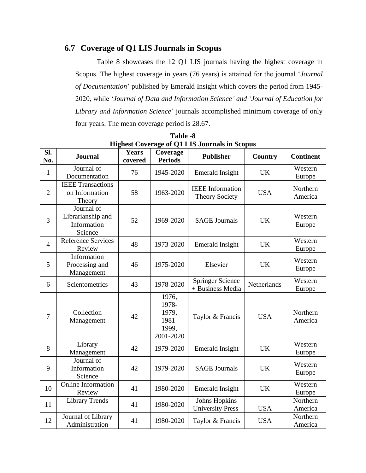# **6.7 Coverage of Q1 LIS Journals in Scopus**

Table 8 showcases the 12 Q1 LIS journals having the highest coverage in Scopus. The highest coverage in years (76 years) is attained for the journal '*Journal of Documentation*' published by Emerald Insight which covers the period from 1945- 2020, while '*Journal of Data and Information Science' and 'Journal of Education for Library and Information Science*' journals accomplished minimum coverage of only four years. The mean coverage period is 28.67.

| SI.<br>No.     | <b>Journal</b>                                            | <b>Years</b><br>covered | Coverage<br><b>Periods</b>                             | <b>Publisher</b>                                 | Country     | <b>Continent</b>    |
|----------------|-----------------------------------------------------------|-------------------------|--------------------------------------------------------|--------------------------------------------------|-------------|---------------------|
| $\mathbf{1}$   | Journal of<br>Documentation                               | 76                      | 1945-2020                                              | <b>Emerald Insight</b>                           | <b>UK</b>   | Western<br>Europe   |
| $\overline{2}$ | <b>IEEE Transactions</b><br>on Information<br>Theory      | 58                      | 1963-2020                                              | <b>IEEE</b> Information<br><b>Theory Society</b> | <b>USA</b>  | Northern<br>America |
| 3              | Journal of<br>Librarianship and<br>Information<br>Science | 52                      | 1969-2020                                              | <b>SAGE Journals</b>                             | <b>UK</b>   | Western<br>Europe   |
| $\overline{4}$ | <b>Reference Services</b><br>Review                       | 48                      | 1973-2020                                              | <b>Emerald Insight</b>                           | <b>UK</b>   | Western<br>Europe   |
| 5              | Information<br>Processing and<br>Management               | 46                      | 1975-2020                                              | Elsevier                                         | <b>UK</b>   | Western<br>Europe   |
| 6              | Scientometrics                                            | 43                      | 1978-2020                                              | <b>Springer Science</b><br>+ Business Media      | Netherlands | Western<br>Europe   |
| $\tau$         | Collection<br>Management                                  | 42                      | 1976,<br>1978-<br>1979,<br>1981-<br>1999,<br>2001-2020 | Taylor & Francis                                 | <b>USA</b>  | Northern<br>America |
| 8              | Library<br>Management                                     | 42                      | 1979-2020                                              | <b>Emerald Insight</b>                           | <b>UK</b>   | Western<br>Europe   |
| 9              | Journal of<br>Information<br>Science                      | 42                      | 1979-2020                                              | <b>SAGE Journals</b>                             | <b>UK</b>   | Western<br>Europe   |
| 10             | <b>Online Information</b><br>Review                       | 41                      | 1980-2020                                              | <b>Emerald Insight</b>                           | <b>UK</b>   | Western<br>Europe   |
| 11             | <b>Library Trends</b>                                     | 41                      | 1980-2020                                              | <b>Johns Hopkins</b><br><b>University Press</b>  | <b>USA</b>  | Northern<br>America |
| 12             | Journal of Library<br>Administration                      | 41                      | 1980-2020                                              | Taylor & Francis                                 | <b>USA</b>  | Northern<br>America |

**Table -8 Highest Coverage of Q1 LIS Journals in Scopus**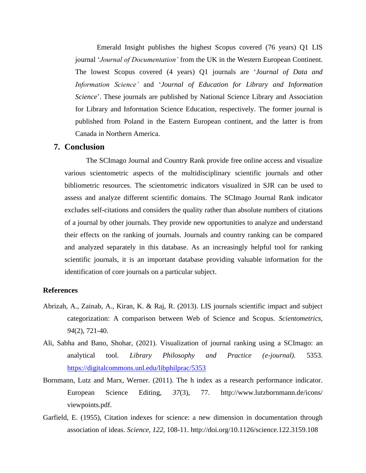Emerald Insight publishes the highest Scopus covered (76 years) Q1 LIS journal '*Journal of Documentation'* from the UK in the Western European Continent. The lowest Scopus covered (4 years) Q1 journals are '*Journal of Data and Information Science'* and '*Journal of Education for Library and Information Science*'. These journals are published by National Science Library and Association for Library and Information Science Education, respectively. The former journal is published from Poland in the Eastern European continent, and the latter is from Canada in Northern America.

# **7. Conclusion**

The SCImago Journal and Country Rank provide free online access and visualize various scientometric aspects of the multidisciplinary scientific journals and other bibliometric resources. The scientometric indicators visualized in SJR can be used to assess and analyze different scientific domains. The SCImago Journal Rank indicator excludes self-citations and considers the quality rather than absolute numbers of citations of a journal by other journals. They provide new opportunities to analyze and understand their effects on the ranking of journals. Journals and country ranking can be compared and analyzed separately in this database. As an increasingly helpful tool for ranking scientific journals, it is an important database providing valuable information for the identification of core journals on a particular subject.

#### **References**

- Abrizah, A., Zainab, A., Kiran, K. & Raj, R. (2013). LIS journals scientific impact and subject categorization: A comparison between Web of Science and Scopus. *Scientometrics*, *94*(2), 721-40.
- Ali, Sabha and Bano, Shohar, (2021). Visualization of journal ranking using a SCImago: an analytical tool. *Library Philosophy and Practice (e-journal).* 5353. <https://digitalcommons.unl.edu/libphilprac/5353>
- Bornmann, Lutz and Marx, Werner. (2011). The h index as a research performance indicator. European Science Editing, *37*(3), 77. http://www.lutzbornmann.de/icons/ viewpoints.pdf.
- Garfield, E. (1955), Citation indexes for science: a new dimension in documentation through association of ideas. *Science*, *122*, 108-11.<http://doi.org/10.1126/science.122.3159.108>